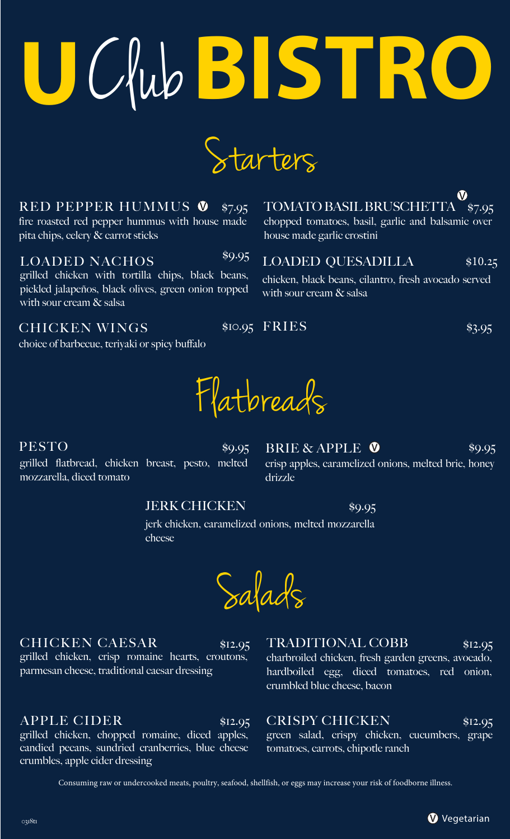## **U**C lub**BISTRO**

Starters

RED PEPPER HUMMUS  $\bullet$  \$7.95 fire roasted red pepper hummus with house made

pita chips, celery & carrot sticks

LOADED NACHOS grilled chicken with tortilla chips, black beans, pickled jalapeños, black olives, green onion topped with sour cream & salsa \$9.95

CHICKEN WINGS

choice of barbecue, teriyaki or spicy buffalo

drizzle JERK CHICKEN \$9.95 grilled flatbread, chicken breast, pesto, melted mozzarella, diced tomato

> jerk chicken, caramelized onions, melted mozzarella cheese

CHICKEN CAESAR \$12.95 grilled chicken, crisp romaine hearts, croutons, parmesan cheese, traditional caesar dressing

APPLE CIDER \$12.95 grilled chicken, chopped romaine, diced apples, candied pecans, sundried cranberries, blue cheese crumbles, apple cider dressing

TRADITIONAL COBB \$12.95 charbroiled chicken, fresh garden greens, avocado, hardboiled egg, diced tomatoes, red onion, crumbled blue cheese, bacon

CRISPY CHICKEN \$12.95 green salad, crispy chicken, cucumbers, grape tomatoes, carrots, chipotle ranch

Consuming raw or undercooked meats, poultry, seafood, shellfish, or eggs may increase your risk of foodborne illness.

Flatbreads  $PESTO$  \$9.95

BRIE & APPLE  $\bullet$  \$9.95 crisp apples, caramelized onions, melted brie, honey

TOMATO BASIL BRUSCHETTA \$7.95 chopped tomatoes, basil, garlic and balsamic over house made garlic crostini V

LOADED QUESADILLA \$10.25

chicken, black beans, cilantro, fresh avocado served with sour cream & salsa

\$10.95 FRIES \$3.95

Salads